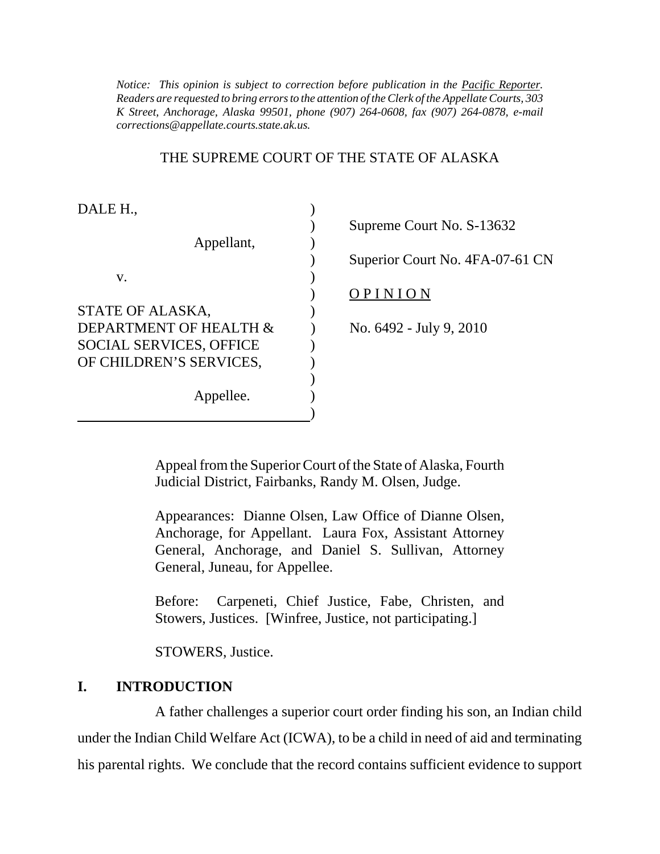*K Street, Anchorage, Alaska 99501, phone (907) 264-0608, fax (907) 264-0878, e-mail Notice: This opinion is subject to correction before publication in the Pacific Reporter. Readers are requested to bring errors to the attention of the Clerk of the Appellate Courts, 303 corrections@appellate.courts.state.ak.us.* 

#### THE SUPREME COURT OF THE STATE OF ALASKA

| DALE H.,                       |  |
|--------------------------------|--|
|                                |  |
| Appellant,                     |  |
|                                |  |
| v.                             |  |
|                                |  |
| STATE OF ALASKA,               |  |
| DEPARTMENT OF HEALTH &         |  |
| <b>SOCIAL SERVICES, OFFICE</b> |  |
| OF CHILDREN'S SERVICES,        |  |
|                                |  |
| Appellee.                      |  |
|                                |  |

) Supreme Court No. S-13632 ) Superior Court No. 4FA-07-61 CN ) O P I N I O N No. 6492 - July 9, 2010

Appeal from the Superior Court of the State of Alaska, Fourth Judicial District, Fairbanks, Randy M. Olsen, Judge.

Appearances: Dianne Olsen, Law Office of Dianne Olsen, Anchorage, for Appellant. Laura Fox, Assistant Attorney General, Anchorage, and Daniel S. Sullivan, Attorney General, Juneau, for Appellee.

Before: Carpeneti, Chief Justice, Fabe, Christen, and Stowers, Justices. [Winfree, Justice, not participating.]

STOWERS, Justice.

### **I. INTRODUCTION**

A father challenges a superior court order finding his son, an Indian child under the Indian Child Welfare Act (ICWA), to be a child in need of aid and terminating his parental rights. We conclude that the record contains sufficient evidence to support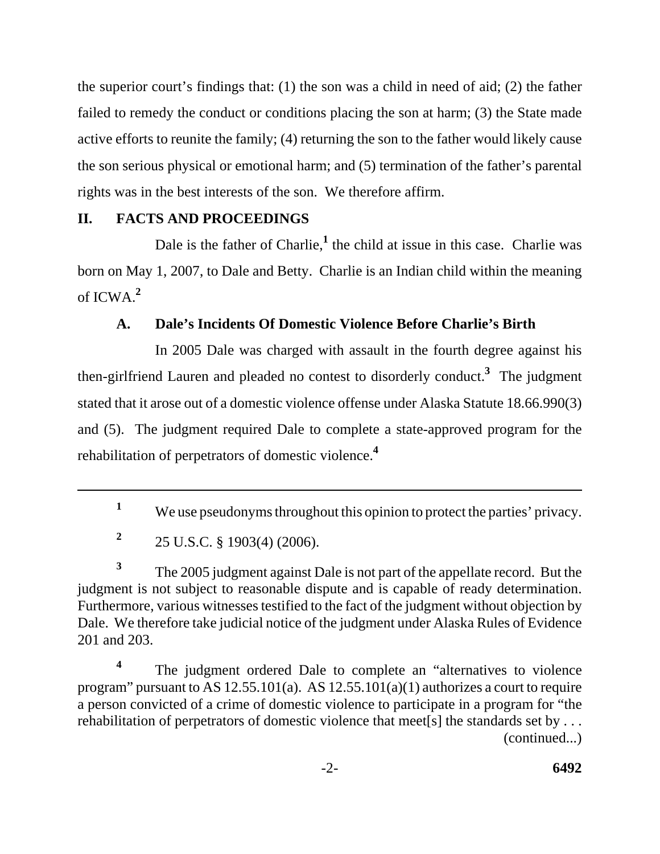the superior court's findings that: (1) the son was a child in need of aid; (2) the father failed to remedy the conduct or conditions placing the son at harm; (3) the State made active efforts to reunite the family; (4) returning the son to the father would likely cause the son serious physical or emotional harm; and (5) termination of the father's parental rights was in the best interests of the son. We therefore affirm.

# **II. FACTS AND PROCEEDINGS**

 of ICWA.**<sup>2</sup>** Dale is the father of Charlie,<sup>1</sup> the child at issue in this case. Charlie was born on May 1, 2007, to Dale and Betty. Charlie is an Indian child within the meaning

# **A. Dale's Incidents Of Domestic Violence Before Charlie's Birth**

 rehabilitation of perpetrators of domestic violence.**<sup>4</sup>** In 2005 Dale was charged with assault in the fourth degree against his then-girlfriend Lauren and pleaded no contest to disorderly conduct.**<sup>3</sup>** The judgment stated that it arose out of a domestic violence offense under Alaska Statute 18.66.990(3) and (5). The judgment required Dale to complete a state-approved program for the

<sup>3</sup>The 2005 judgment against Dale is not part of the appellate record. But the judgment is not subject to reasonable dispute and is capable of ready determination. Furthermore, various witnesses testified to the fact of the judgment without objection by Dale. We therefore take judicial notice of the judgment under Alaska Rules of Evidence 201 and 203.

The judgment ordered Dale to complete an "alternatives to violence program" pursuant to AS  $12.55.101(a)$ . AS  $12.55.101(a)(1)$  authorizes a court to require a person convicted of a crime of domestic violence to participate in a program for "the rehabilitation of perpetrators of domestic violence that meet[s] the standards set by . . . (continued...) **4** 

<sup>&</sup>lt;sup>1</sup> We use pseudonyms throughout this opinion to protect the parties' privacy.

**<sup>2</sup>**25 U.S.C. § 1903(4) (2006).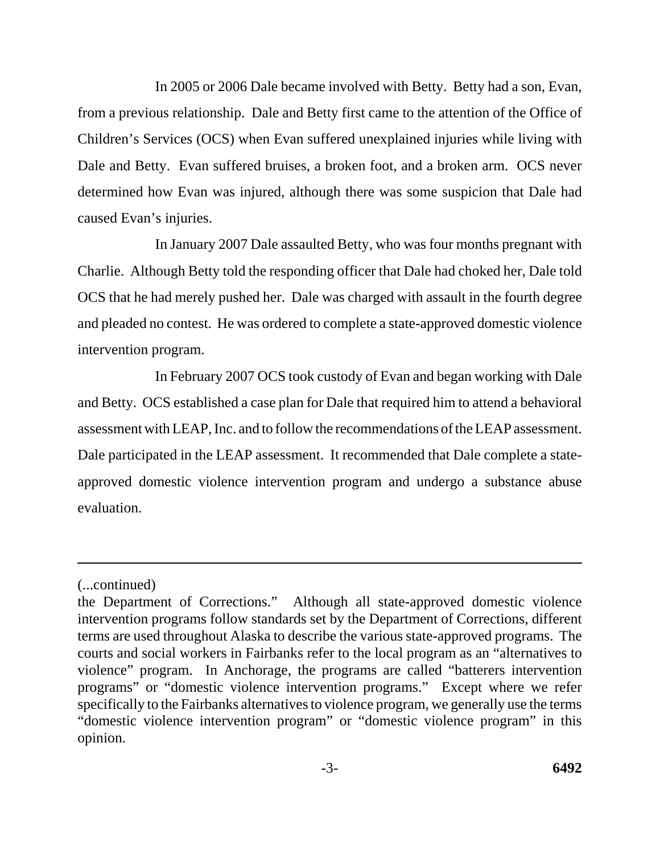In 2005 or 2006 Dale became involved with Betty. Betty had a son, Evan, from a previous relationship. Dale and Betty first came to the attention of the Office of Children's Services (OCS) when Evan suffered unexplained injuries while living with Dale and Betty. Evan suffered bruises, a broken foot, and a broken arm. OCS never determined how Evan was injured, although there was some suspicion that Dale had caused Evan's injuries.

In January 2007 Dale assaulted Betty, who was four months pregnant with Charlie. Although Betty told the responding officer that Dale had choked her, Dale told OCS that he had merely pushed her. Dale was charged with assault in the fourth degree and pleaded no contest. He was ordered to complete a state-approved domestic violence intervention program.

In February 2007 OCS took custody of Evan and began working with Dale and Betty. OCS established a case plan for Dale that required him to attend a behavioral assessment with LEAP, Inc. and to follow the recommendations of the LEAP assessment. Dale participated in the LEAP assessment. It recommended that Dale complete a stateapproved domestic violence intervention program and undergo a substance abuse evaluation.

<sup>(...</sup>continued)

the Department of Corrections." Although all state-approved domestic violence intervention programs follow standards set by the Department of Corrections, different terms are used throughout Alaska to describe the various state-approved programs. The courts and social workers in Fairbanks refer to the local program as an "alternatives to violence" program. In Anchorage, the programs are called "batterers intervention programs" or "domestic violence intervention programs." Except where we refer specifically to the Fairbanks alternatives to violence program, we generally use the terms "domestic violence intervention program" or "domestic violence program" in this opinion.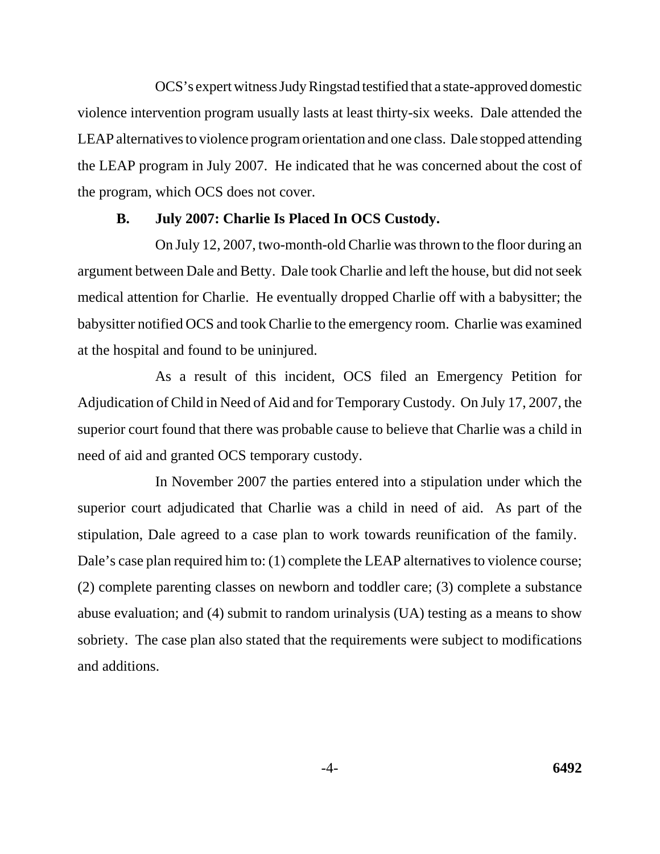OCS's expert witness Judy Ringstad testified that a state-approved domestic violence intervention program usually lasts at least thirty-six weeks. Dale attended the LEAP alternatives to violence program orientation and one class. Dale stopped attending the LEAP program in July 2007. He indicated that he was concerned about the cost of the program, which OCS does not cover.

#### **B. July 2007: Charlie Is Placed In OCS Custody.**

On July 12, 2007, two-month-old Charlie was thrown to the floor during an argument between Dale and Betty. Dale took Charlie and left the house, but did not seek medical attention for Charlie. He eventually dropped Charlie off with a babysitter; the babysitter notified OCS and took Charlie to the emergency room. Charlie was examined at the hospital and found to be uninjured.

As a result of this incident, OCS filed an Emergency Petition for Adjudication of Child in Need of Aid and for Temporary Custody. On July 17, 2007, the superior court found that there was probable cause to believe that Charlie was a child in need of aid and granted OCS temporary custody.

In November 2007 the parties entered into a stipulation under which the superior court adjudicated that Charlie was a child in need of aid. As part of the stipulation, Dale agreed to a case plan to work towards reunification of the family. Dale's case plan required him to: (1) complete the LEAP alternatives to violence course; (2) complete parenting classes on newborn and toddler care; (3) complete a substance abuse evaluation; and (4) submit to random urinalysis (UA) testing as a means to show sobriety. The case plan also stated that the requirements were subject to modifications and additions.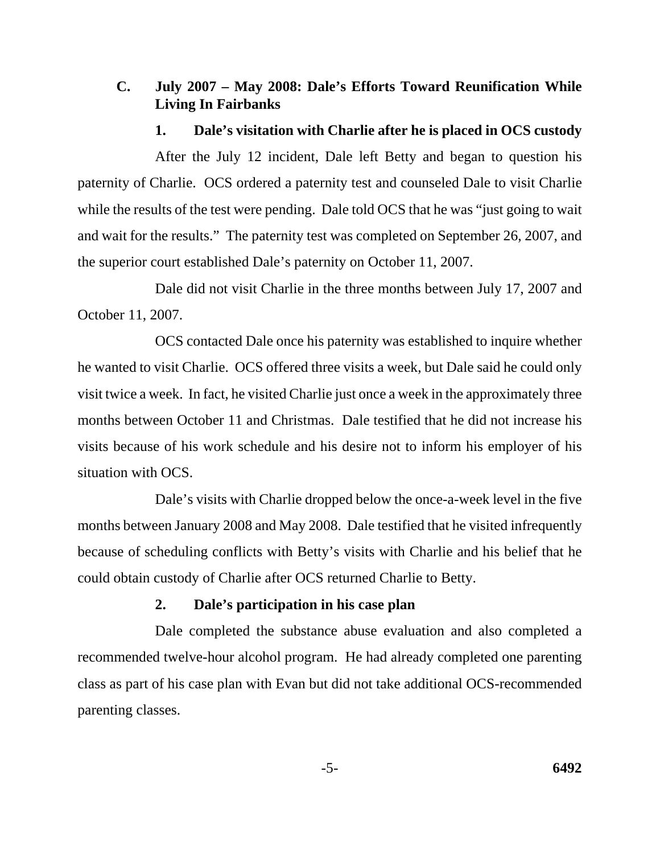## **C. July 2007 – May 2008: Dale's Efforts Toward Reunification While Living In Fairbanks**

### **1. Dale's visitation with Charlie after he is placed in OCS custody**

After the July 12 incident, Dale left Betty and began to question his paternity of Charlie. OCS ordered a paternity test and counseled Dale to visit Charlie while the results of the test were pending. Dale told OCS that he was "just going to wait" and wait for the results." The paternity test was completed on September 26, 2007, and the superior court established Dale's paternity on October 11, 2007.

Dale did not visit Charlie in the three months between July 17, 2007 and October 11, 2007.

OCS contacted Dale once his paternity was established to inquire whether he wanted to visit Charlie. OCS offered three visits a week, but Dale said he could only visit twice a week. In fact, he visited Charlie just once a week in the approximately three months between October 11 and Christmas. Dale testified that he did not increase his visits because of his work schedule and his desire not to inform his employer of his situation with OCS.

Dale's visits with Charlie dropped below the once-a-week level in the five months between January 2008 and May 2008. Dale testified that he visited infrequently because of scheduling conflicts with Betty's visits with Charlie and his belief that he could obtain custody of Charlie after OCS returned Charlie to Betty.

## **2. Dale's participation in his case plan**

Dale completed the substance abuse evaluation and also completed a recommended twelve-hour alcohol program. He had already completed one parenting class as part of his case plan with Evan but did not take additional OCS-recommended parenting classes.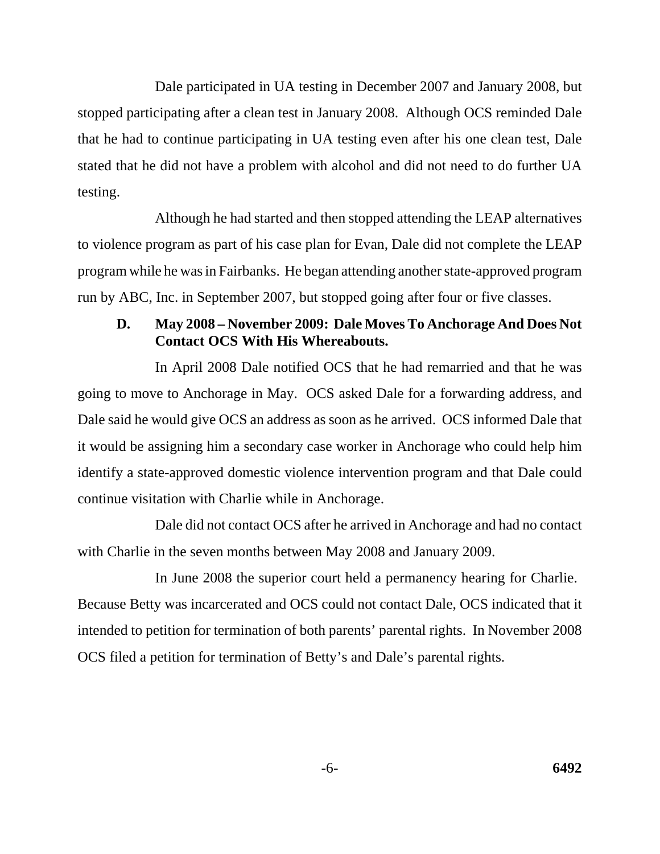Dale participated in UA testing in December 2007 and January 2008, but stopped participating after a clean test in January 2008. Although OCS reminded Dale that he had to continue participating in UA testing even after his one clean test, Dale stated that he did not have a problem with alcohol and did not need to do further UA testing.

Although he had started and then stopped attending the LEAP alternatives to violence program as part of his case plan for Evan, Dale did not complete the LEAP program while he was in Fairbanks. He began attending another state-approved program run by ABC, Inc. in September 2007, but stopped going after four or five classes.

## **D. May 2008 – November 2009: Dale Moves To Anchorage And Does Not Contact OCS With His Whereabouts.**

In April 2008 Dale notified OCS that he had remarried and that he was going to move to Anchorage in May. OCS asked Dale for a forwarding address, and Dale said he would give OCS an address as soon as he arrived. OCS informed Dale that it would be assigning him a secondary case worker in Anchorage who could help him identify a state-approved domestic violence intervention program and that Dale could continue visitation with Charlie while in Anchorage.

Dale did not contact OCS after he arrived in Anchorage and had no contact with Charlie in the seven months between May 2008 and January 2009.

In June 2008 the superior court held a permanency hearing for Charlie. Because Betty was incarcerated and OCS could not contact Dale, OCS indicated that it intended to petition for termination of both parents' parental rights. In November 2008 OCS filed a petition for termination of Betty's and Dale's parental rights.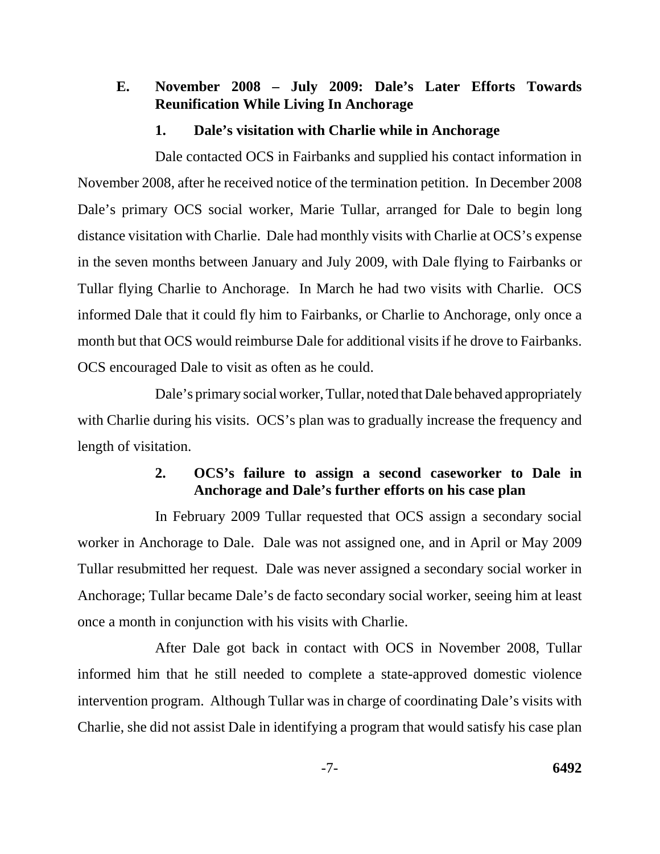## **E. November 2008 – July 2009: Dale's Later Efforts Towards Reunification While Living In Anchorage**

### **1. Dale's visitation with Charlie while in Anchorage**

Dale contacted OCS in Fairbanks and supplied his contact information in November 2008, after he received notice of the termination petition. In December 2008 Dale's primary OCS social worker, Marie Tullar, arranged for Dale to begin long distance visitation with Charlie. Dale had monthly visits with Charlie at OCS's expense in the seven months between January and July 2009, with Dale flying to Fairbanks or Tullar flying Charlie to Anchorage. In March he had two visits with Charlie. OCS informed Dale that it could fly him to Fairbanks, or Charlie to Anchorage, only once a month but that OCS would reimburse Dale for additional visits if he drove to Fairbanks. OCS encouraged Dale to visit as often as he could.

Dale's primary social worker, Tullar, noted that Dale behaved appropriately with Charlie during his visits. OCS's plan was to gradually increase the frequency and length of visitation.

## **2. OCS's failure to assign a second caseworker to Dale in Anchorage and Dale's further efforts on his case plan**

In February 2009 Tullar requested that OCS assign a secondary social worker in Anchorage to Dale. Dale was not assigned one, and in April or May 2009 Tullar resubmitted her request. Dale was never assigned a secondary social worker in Anchorage; Tullar became Dale's de facto secondary social worker, seeing him at least once a month in conjunction with his visits with Charlie.

After Dale got back in contact with OCS in November 2008, Tullar informed him that he still needed to complete a state-approved domestic violence intervention program. Although Tullar was in charge of coordinating Dale's visits with Charlie, she did not assist Dale in identifying a program that would satisfy his case plan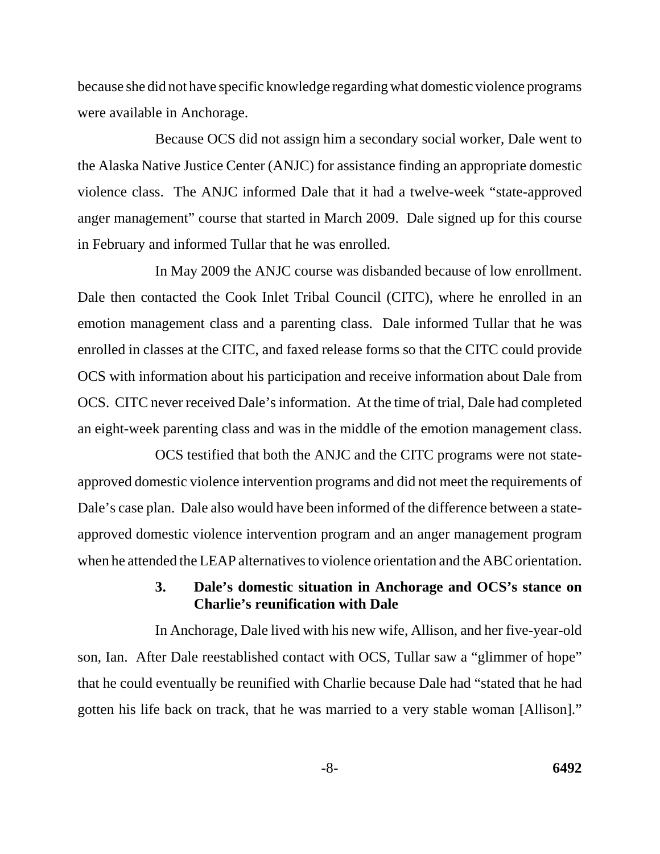because she did not have specific knowledge regarding what domestic violence programs were available in Anchorage.

Because OCS did not assign him a secondary social worker, Dale went to the Alaska Native Justice Center (ANJC) for assistance finding an appropriate domestic violence class. The ANJC informed Dale that it had a twelve-week "state-approved anger management" course that started in March 2009. Dale signed up for this course in February and informed Tullar that he was enrolled.

In May 2009 the ANJC course was disbanded because of low enrollment. Dale then contacted the Cook Inlet Tribal Council (CITC), where he enrolled in an emotion management class and a parenting class. Dale informed Tullar that he was enrolled in classes at the CITC, and faxed release forms so that the CITC could provide OCS with information about his participation and receive information about Dale from OCS. CITC never received Dale's information. At the time of trial, Dale had completed an eight-week parenting class and was in the middle of the emotion management class.

OCS testified that both the ANJC and the CITC programs were not stateapproved domestic violence intervention programs and did not meet the requirements of Dale's case plan. Dale also would have been informed of the difference between a stateapproved domestic violence intervention program and an anger management program when he attended the LEAP alternatives to violence orientation and the ABC orientation.

## **3. Dale's domestic situation in Anchorage and OCS's stance on Charlie's reunification with Dale**

In Anchorage, Dale lived with his new wife, Allison, and her five-year-old son, Ian. After Dale reestablished contact with OCS, Tullar saw a "glimmer of hope" that he could eventually be reunified with Charlie because Dale had "stated that he had gotten his life back on track, that he was married to a very stable woman [Allison]."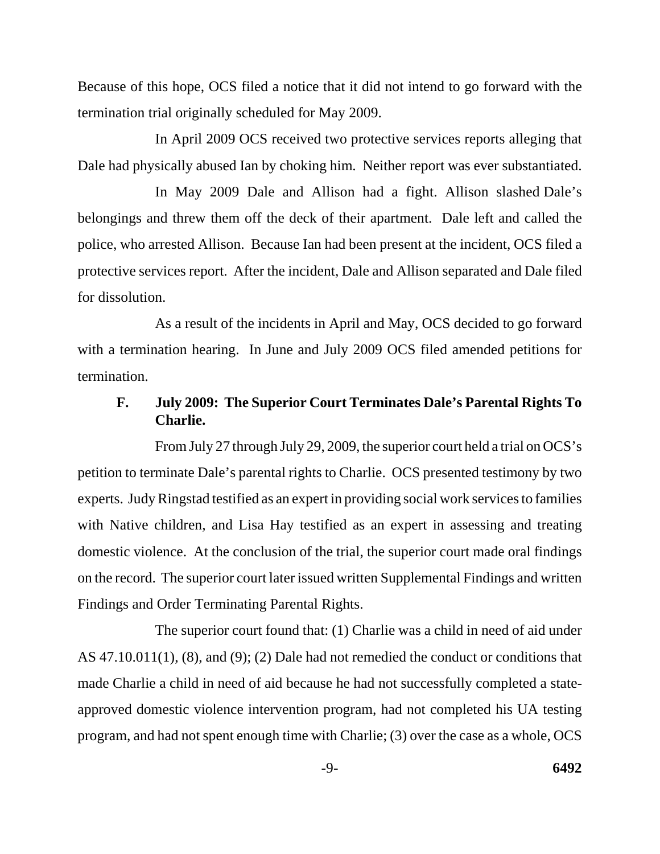Because of this hope, OCS filed a notice that it did not intend to go forward with the termination trial originally scheduled for May 2009.

In April 2009 OCS received two protective services reports alleging that Dale had physically abused Ian by choking him. Neither report was ever substantiated.

In May 2009 Dale and Allison had a fight. Allison slashed Dale's belongings and threw them off the deck of their apartment. Dale left and called the police, who arrested Allison. Because Ian had been present at the incident, OCS filed a protective services report. After the incident, Dale and Allison separated and Dale filed for dissolution.

As a result of the incidents in April and May, OCS decided to go forward with a termination hearing. In June and July 2009 OCS filed amended petitions for termination.

## **F. July 2009: The Superior Court Terminates Dale's Parental Rights To Charlie.**

From July 27 through July 29, 2009, the superior court held a trial on OCS's petition to terminate Dale's parental rights to Charlie. OCS presented testimony by two experts. Judy Ringstad testified as an expert in providing social work services to families with Native children, and Lisa Hay testified as an expert in assessing and treating domestic violence. At the conclusion of the trial, the superior court made oral findings on the record. The superior court later issued written Supplemental Findings and written Findings and Order Terminating Parental Rights.

The superior court found that: (1) Charlie was a child in need of aid under AS 47.10.011(1), (8), and (9); (2) Dale had not remedied the conduct or conditions that made Charlie a child in need of aid because he had not successfully completed a stateapproved domestic violence intervention program, had not completed his UA testing program, and had not spent enough time with Charlie; (3) over the case as a whole, OCS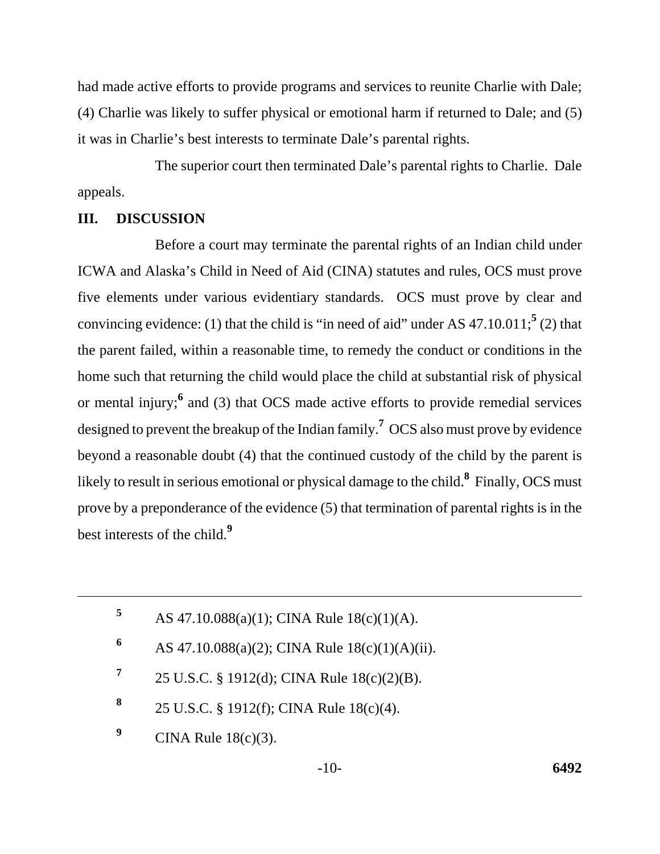had made active efforts to provide programs and services to reunite Charlie with Dale; (4) Charlie was likely to suffer physical or emotional harm if returned to Dale; and (5) it was in Charlie's best interests to terminate Dale's parental rights.

The superior court then terminated Dale's parental rights to Charlie. Dale appeals.

#### **III. DISCUSSION**

Before a court may terminate the parental rights of an Indian child under ICWA and Alaska's Child in Need of Aid (CINA) statutes and rules, OCS must prove five elements under various evidentiary standards. OCS must prove by clear and convincing evidence: (1) that the child is "in need of aid" under AS  $47.10.011$ ;<sup>5</sup> (2) that the parent failed, within a reasonable time, to remedy the conduct or conditions in the home such that returning the child would place the child at substantial risk of physical or mental injury;<sup>6</sup> and (3) that OCS made active efforts to provide remedial services designed to prevent the breakup of the Indian family.**<sup>7</sup>** OCS also must prove by evidence beyond a reasonable doubt (4) that the continued custody of the child by the parent is likely to result in serious emotional or physical damage to the child.**<sup>8</sup>** Finally, OCS must prove by a preponderance of the evidence (5) that termination of parental rights is in the best interests of the child.**<sup>9</sup>**

- 6 AS 47.10.088(a)(2); CINA Rule  $18(c)(1)(A)(ii)$ .
- **<sup>7</sup>**25 U.S.C. § 1912(d); CINA Rule 18(c)(2)(B).
- **<sup>8</sup>**25 U.S.C. § 1912(f); CINA Rule 18(c)(4).
- <sup>9</sup> CINA Rule 18(c)(3).

<sup>5</sup> AS  $47.10.088(a)(1)$ ; CINA Rule  $18(c)(1)(A)$ .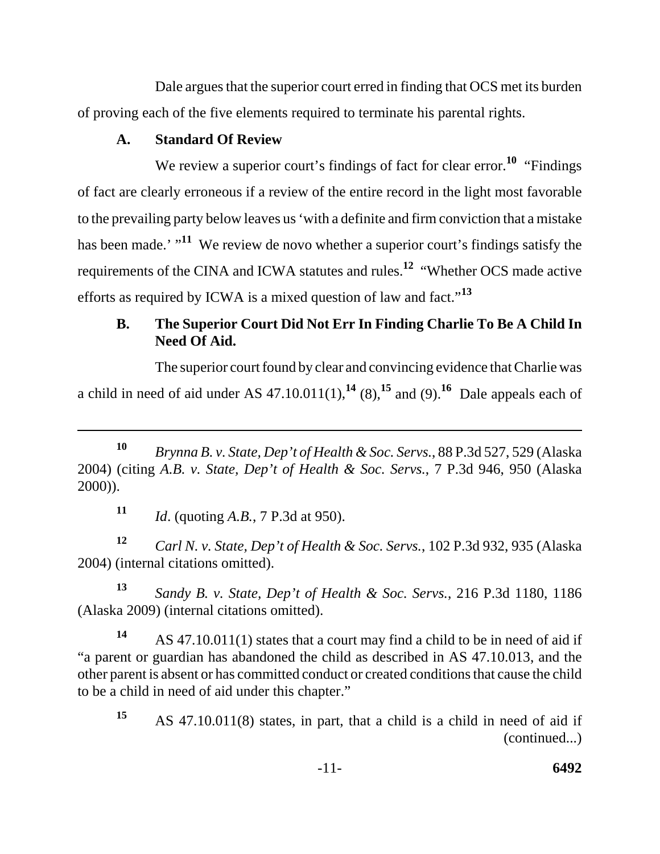Dale argues that the superior court erred in finding that OCS met its burden of proving each of the five elements required to terminate his parental rights.

## **A. Standard Of Review**

We review a superior court's findings of fact for clear error.<sup>10</sup> "Findings" of fact are clearly erroneous if a review of the entire record in the light most favorable to the prevailing party below leaves us 'with a definite and firm conviction that a mistake has been made.' "<sup>11</sup> We review de novo whether a superior court's findings satisfy the requirements of the CINA and ICWA statutes and rules.**12** "Whether OCS made active efforts as required by ICWA is a mixed question of law and fact."**<sup>13</sup>**

# **B. The Superior Court Did Not Err In Finding Charlie To Be A Child In Need Of Aid.**

The superior court found by clear and convincing evidence that Charlie was a child in need of aid under AS  $47.10.011(1)$ ,<sup>14</sup> (8),<sup>15</sup> and (9).<sup>16</sup> Dale appeals each of

**<sup>11</sup>** *Id*. (quoting *A.B.*, 7 P.3d at 950).

**<sup>12</sup>***Carl N. v. State, Dep't of Health & Soc. Servs.*, 102 P.3d 932, 935 (Alaska 2004) (internal citations omitted).

**<sup>13</sup>***Sandy B. v. State, Dep't of Health & Soc. Servs.*, 216 P.3d 1180, 1186 (Alaska 2009) (internal citations omitted).

**<sup>14</sup>**AS 47.10.011(1) states that a court may find a child to be in need of aid if "a parent or guardian has abandoned the child as described in AS 47.10.013, and the other parent is absent or has committed conduct or created conditions that cause the child to be a child in need of aid under this chapter."

**<sup>10</sup>***Brynna B. v. State, Dep't of Health & Soc. Servs.*, 88 P.3d 527, 529 (Alaska 2004) (citing *A.B. v. State, Dep't of Health & Soc. Servs.*, 7 P.3d 946, 950 (Alaska 2000)).

AS 47.10.011(8) states, in part, that a child is a child in need of aid if (continued...) **15**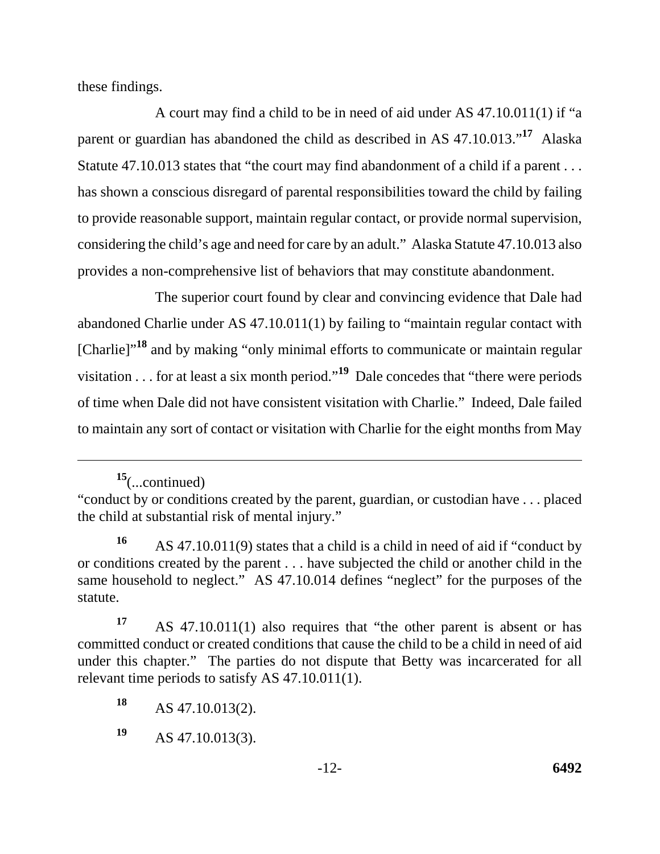these findings.

A court may find a child to be in need of aid under AS 47.10.011(1) if "a parent or guardian has abandoned the child as described in AS 47.10.013."**17** Alaska Statute 47.10.013 states that "the court may find abandonment of a child if a parent . . . has shown a conscious disregard of parental responsibilities toward the child by failing to provide reasonable support, maintain regular contact, or provide normal supervision, considering the child's age and need for care by an adult." Alaska Statute 47.10.013 also provides a non-comprehensive list of behaviors that may constitute abandonment.

The superior court found by clear and convincing evidence that Dale had abandoned Charlie under AS 47.10.011(1) by failing to "maintain regular contact with [Charlie]"**18** and by making "only minimal efforts to communicate or maintain regular visitation . . . for at least a six month period."**19** Dale concedes that "there were periods of time when Dale did not have consistent visitation with Charlie." Indeed, Dale failed to maintain any sort of contact or visitation with Charlie for the eight months from May

**<sup>15</sup>**(...continued)

<sup>&</sup>quot;conduct by or conditions created by the parent, guardian, or custodian have . . . placed the child at substantial risk of mental injury."

**<sup>16</sup>**AS 47.10.011(9) states that a child is a child in need of aid if "conduct by or conditions created by the parent . . . have subjected the child or another child in the same household to neglect." AS 47.10.014 defines "neglect" for the purposes of the statute.

**<sup>17</sup>**AS 47.10.011(1) also requires that "the other parent is absent or has committed conduct or created conditions that cause the child to be a child in need of aid under this chapter." The parties do not dispute that Betty was incarcerated for all relevant time periods to satisfy AS 47.10.011(1).

<sup>18</sup> AS 47.10.013(2).

**<sup>19</sup>**AS 47.10.013(3).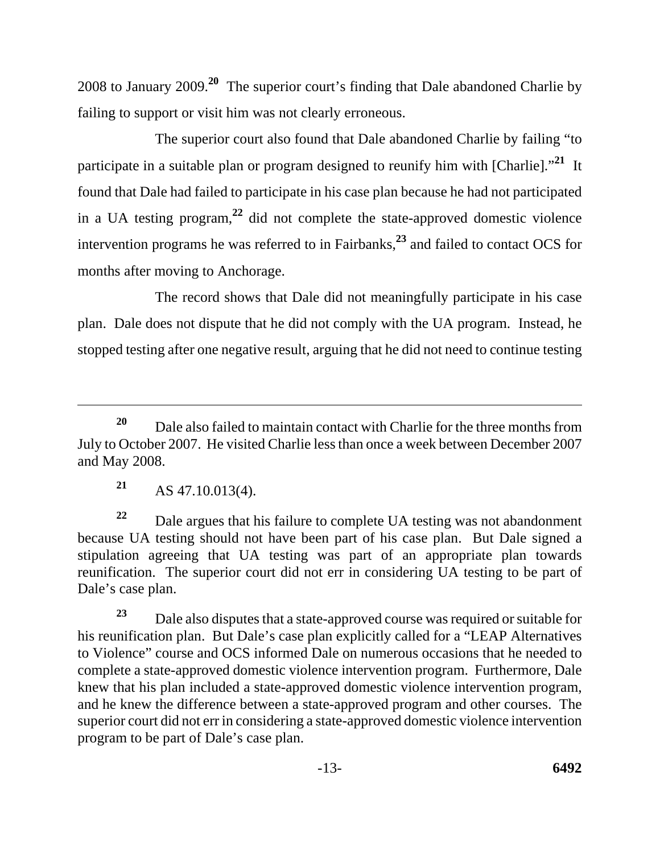2008 to January 2009.**20** The superior court's finding that Dale abandoned Charlie by failing to support or visit him was not clearly erroneous.

The superior court also found that Dale abandoned Charlie by failing "to participate in a suitable plan or program designed to reunify him with [Charlie]."**21** It found that Dale had failed to participate in his case plan because he had not participated in a UA testing program,**22** did not complete the state-approved domestic violence intervention programs he was referred to in Fairbanks,**23** and failed to contact OCS for months after moving to Anchorage.

The record shows that Dale did not meaningfully participate in his case plan. Dale does not dispute that he did not comply with the UA program. Instead, he stopped testing after one negative result, arguing that he did not need to continue testing

**<sup>21</sup>**AS 47.10.013(4).

<sup>22</sup> Dale argues that his failure to complete UA testing was not abandonment because UA testing should not have been part of his case plan. But Dale signed a stipulation agreeing that UA testing was part of an appropriate plan towards reunification. The superior court did not err in considering UA testing to be part of Dale's case plan.

**<sup>23</sup>**Dale also disputes that a state-approved course was required or suitable for his reunification plan. But Dale's case plan explicitly called for a "LEAP Alternatives to Violence" course and OCS informed Dale on numerous occasions that he needed to complete a state-approved domestic violence intervention program. Furthermore, Dale knew that his plan included a state-approved domestic violence intervention program, and he knew the difference between a state-approved program and other courses. The superior court did not err in considering a state-approved domestic violence intervention program to be part of Dale's case plan.

<sup>&</sup>lt;sup>20</sup> Dale also failed to maintain contact with Charlie for the three months from July to October 2007. He visited Charlie less than once a week between December 2007 and May 2008.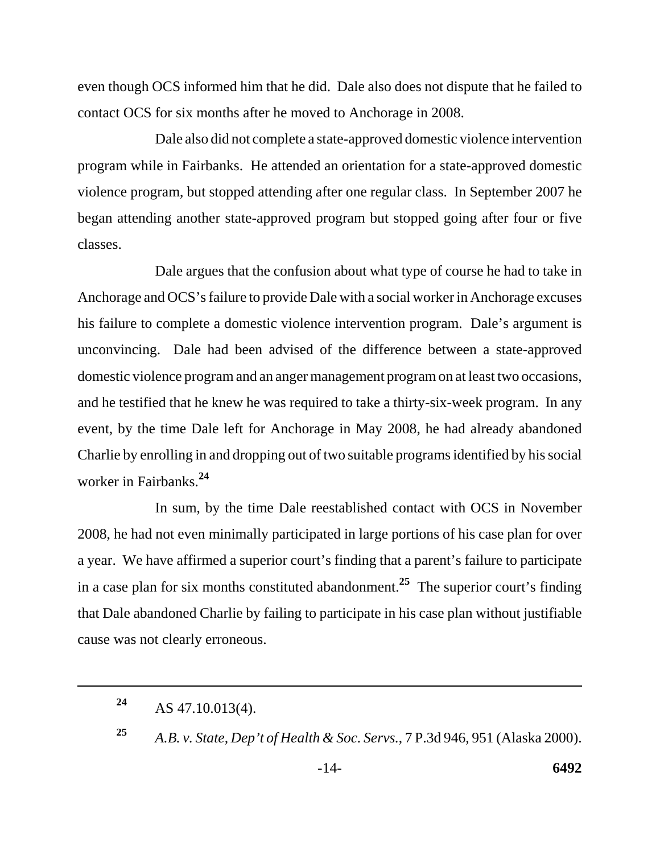even though OCS informed him that he did. Dale also does not dispute that he failed to contact OCS for six months after he moved to Anchorage in 2008.

Dale also did not complete a state-approved domestic violence intervention program while in Fairbanks. He attended an orientation for a state-approved domestic violence program, but stopped attending after one regular class. In September 2007 he began attending another state-approved program but stopped going after four or five classes.

 worker in Fairbanks.**<sup>24</sup>** Dale argues that the confusion about what type of course he had to take in Anchorage and OCS's failure to provide Dale with a social worker in Anchorage excuses his failure to complete a domestic violence intervention program. Dale's argument is unconvincing. Dale had been advised of the difference between a state-approved domestic violence program and an anger management program on at least two occasions, and he testified that he knew he was required to take a thirty-six-week program. In any event, by the time Dale left for Anchorage in May 2008, he had already abandoned Charlie by enrolling in and dropping out of two suitable programs identified by his social

In sum, by the time Dale reestablished contact with OCS in November 2008, he had not even minimally participated in large portions of his case plan for over a year. We have affirmed a superior court's finding that a parent's failure to participate in a case plan for six months constituted abandonment.**25** The superior court's finding that Dale abandoned Charlie by failing to participate in his case plan without justifiable cause was not clearly erroneous.

<sup>&</sup>lt;sup>24</sup> AS 47.10.013(4).

**<sup>25</sup>***A.B. v. State, Dep't of Health & Soc. Servs.*, 7 P.3d 946, 951 (Alaska 2000).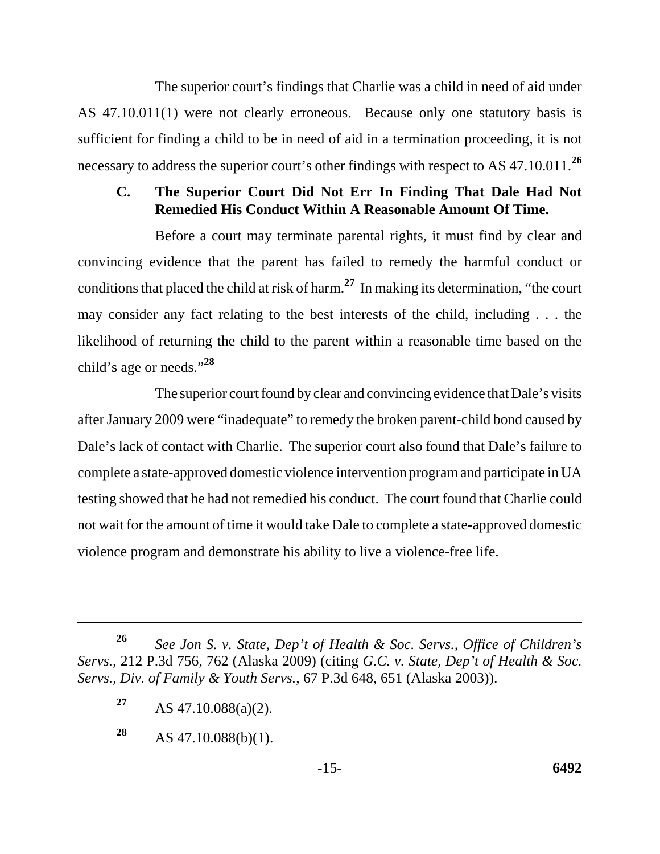The superior court's findings that Charlie was a child in need of aid under AS 47.10.011(1) were not clearly erroneous. Because only one statutory basis is sufficient for finding a child to be in need of aid in a termination proceeding, it is not necessary to address the superior court's other findings with respect to AS 47.10.011.**<sup>26</sup>**

## **C. The Superior Court Did Not Err In Finding That Dale Had Not Remedied His Conduct Within A Reasonable Amount Of Time.**

Before a court may terminate parental rights, it must find by clear and convincing evidence that the parent has failed to remedy the harmful conduct or conditions that placed the child at risk of harm.**27** In making its determination, "the court may consider any fact relating to the best interests of the child, including . . . the likelihood of returning the child to the parent within a reasonable time based on the child's age or needs."**<sup>28</sup>**

The superior court found by clear and convincing evidence that Dale's visits after January 2009 were "inadequate" to remedy the broken parent-child bond caused by Dale's lack of contact with Charlie. The superior court also found that Dale's failure to complete a state-approved domestic violence intervention program and participate in UA testing showed that he had not remedied his conduct. The court found that Charlie could not wait for the amount of time it would take Dale to complete a state-approved domestic violence program and demonstrate his ability to live a violence-free life.

**<sup>26</sup>***See Jon S. v. State, Dep't of Health & Soc. Servs., Office of Children's Servs.*, 212 P.3d 756, 762 (Alaska 2009) (citing *G.C. v. State, Dep't of Health & Soc. Servs., Div. of Family & Youth Servs.*, 67 P.3d 648, 651 (Alaska 2003)).

**<sup>27</sup>**AS 47.10.088(a)(2).

**<sup>28</sup>** AS 47.10.088(b)(1).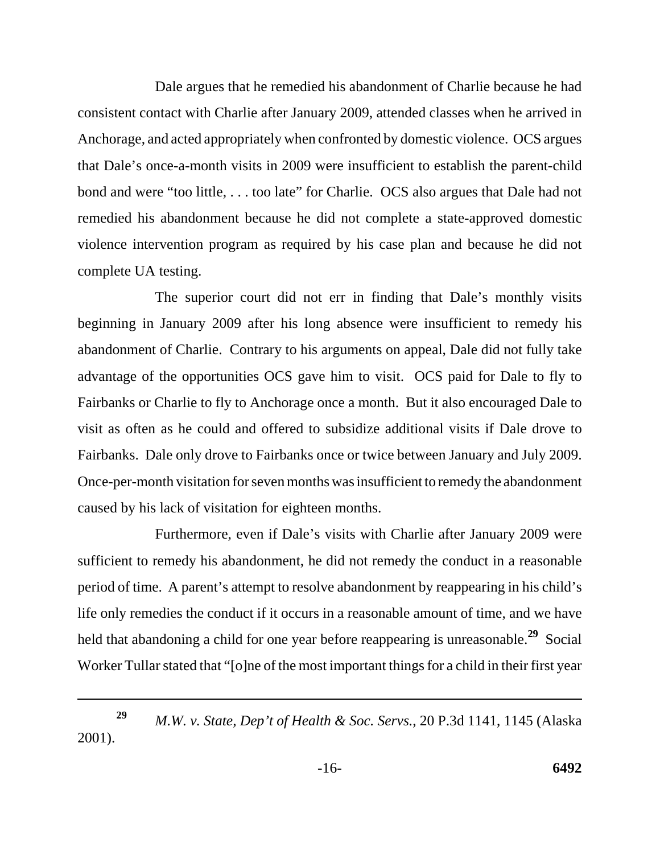Dale argues that he remedied his abandonment of Charlie because he had consistent contact with Charlie after January 2009, attended classes when he arrived in Anchorage, and acted appropriately when confronted by domestic violence. OCS argues that Dale's once-a-month visits in 2009 were insufficient to establish the parent-child bond and were "too little, ... too late" for Charlie. OCS also argues that Dale had not remedied his abandonment because he did not complete a state-approved domestic violence intervention program as required by his case plan and because he did not complete UA testing.

The superior court did not err in finding that Dale's monthly visits beginning in January 2009 after his long absence were insufficient to remedy his abandonment of Charlie. Contrary to his arguments on appeal, Dale did not fully take advantage of the opportunities OCS gave him to visit. OCS paid for Dale to fly to Fairbanks or Charlie to fly to Anchorage once a month. But it also encouraged Dale to visit as often as he could and offered to subsidize additional visits if Dale drove to Fairbanks. Dale only drove to Fairbanks once or twice between January and July 2009. Once-per-month visitation for seven months was insufficient to remedy the abandonment caused by his lack of visitation for eighteen months.

Furthermore, even if Dale's visits with Charlie after January 2009 were sufficient to remedy his abandonment, he did not remedy the conduct in a reasonable period of time. A parent's attempt to resolve abandonment by reappearing in his child's life only remedies the conduct if it occurs in a reasonable amount of time, and we have held that abandoning a child for one year before reappearing is unreasonable.**29** Social Worker Tullar stated that "[o]ne of the most important things for a child in their first year

*M.W. v. State, Dep't of Health & Soc. Servs.*, 20 P.3d 1141, 1145 (Alaska 2001). **29**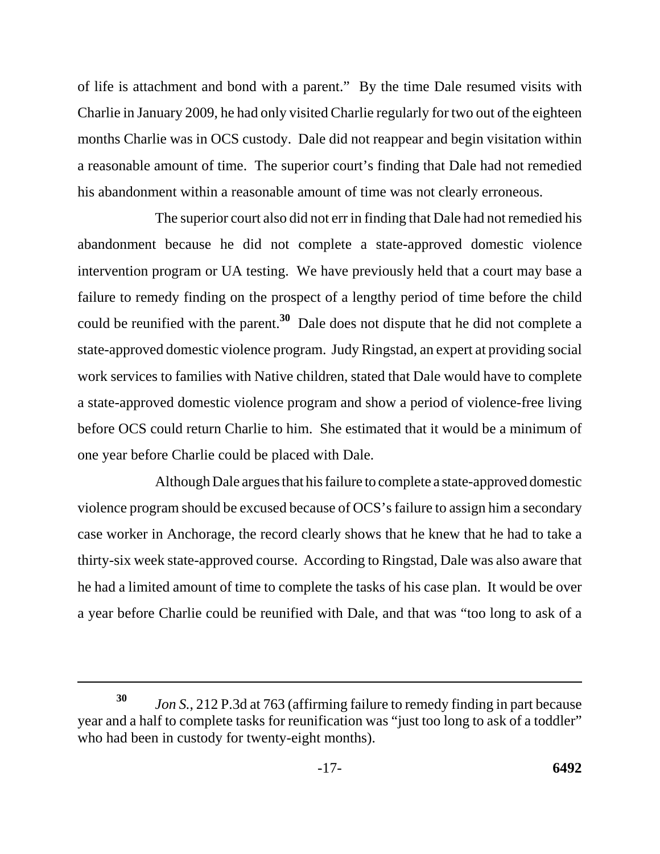of life is attachment and bond with a parent." By the time Dale resumed visits with Charlie in January 2009, he had only visited Charlie regularly for two out of the eighteen months Charlie was in OCS custody. Dale did not reappear and begin visitation within a reasonable amount of time. The superior court's finding that Dale had not remedied his abandonment within a reasonable amount of time was not clearly erroneous.

The superior court also did not err in finding that Dale had not remedied his abandonment because he did not complete a state-approved domestic violence intervention program or UA testing. We have previously held that a court may base a failure to remedy finding on the prospect of a lengthy period of time before the child could be reunified with the parent.**30** Dale does not dispute that he did not complete a state-approved domestic violence program. Judy Ringstad, an expert at providing social work services to families with Native children, stated that Dale would have to complete a state-approved domestic violence program and show a period of violence-free living before OCS could return Charlie to him. She estimated that it would be a minimum of one year before Charlie could be placed with Dale.

Although Dale argues that his failure to complete a state-approved domestic violence program should be excused because of OCS's failure to assign him a secondary case worker in Anchorage, the record clearly shows that he knew that he had to take a thirty-six week state-approved course. According to Ringstad, Dale was also aware that he had a limited amount of time to complete the tasks of his case plan. It would be over a year before Charlie could be reunified with Dale, and that was "too long to ask of a

*Jon S.*, 212 P.3d at 763 (affirming failure to remedy finding in part because year and a half to complete tasks for reunification was "just too long to ask of a toddler" who had been in custody for twenty-eight months). **30**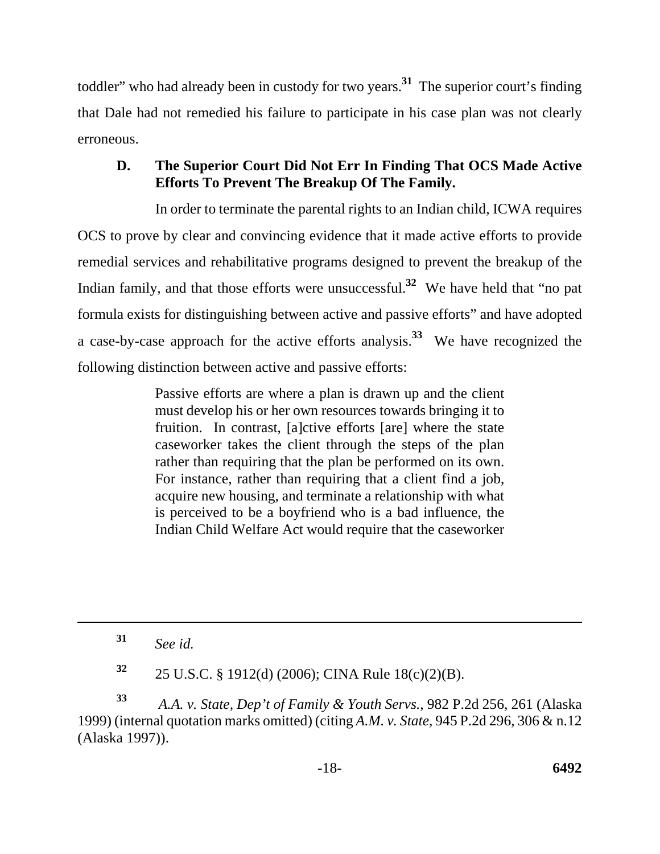toddler" who had already been in custody for two years. **<sup>31</sup>** The superior court's finding that Dale had not remedied his failure to participate in his case plan was not clearly erroneous.

# **D. The Superior Court Did Not Err In Finding That OCS Made Active Efforts To Prevent The Breakup Of The Family.**

In order to terminate the parental rights to an Indian child, ICWA requires OCS to prove by clear and convincing evidence that it made active efforts to provide remedial services and rehabilitative programs designed to prevent the breakup of the Indian family, and that those efforts were unsuccessful.**32** We have held that "no pat formula exists for distinguishing between active and passive efforts" and have adopted a case-by-case approach for the active efforts analysis.**33** We have recognized the following distinction between active and passive efforts:

> Passive efforts are where a plan is drawn up and the client must develop his or her own resources towards bringing it to fruition. In contrast, [a]ctive efforts [are] where the state caseworker takes the client through the steps of the plan rather than requiring that the plan be performed on its own. For instance, rather than requiring that a client find a job, acquire new housing, and terminate a relationship with what is perceived to be a boyfriend who is a bad influence, the Indian Child Welfare Act would require that the caseworker

**<sup>31</sup>***See id.* 

**<sup>32</sup>**25 U.S.C. § 1912(d) (2006); CINA Rule 18(c)(2)(B).

**<sup>33</sup>***A.A. v. State, Dep't of Family & Youth Servs.*, 982 P.2d 256, 261 (Alaska 1999) (internal quotation marks omitted) (citing *A.M. v. State*, 945 P.2d 296, 306 & n.12 (Alaska 1997)).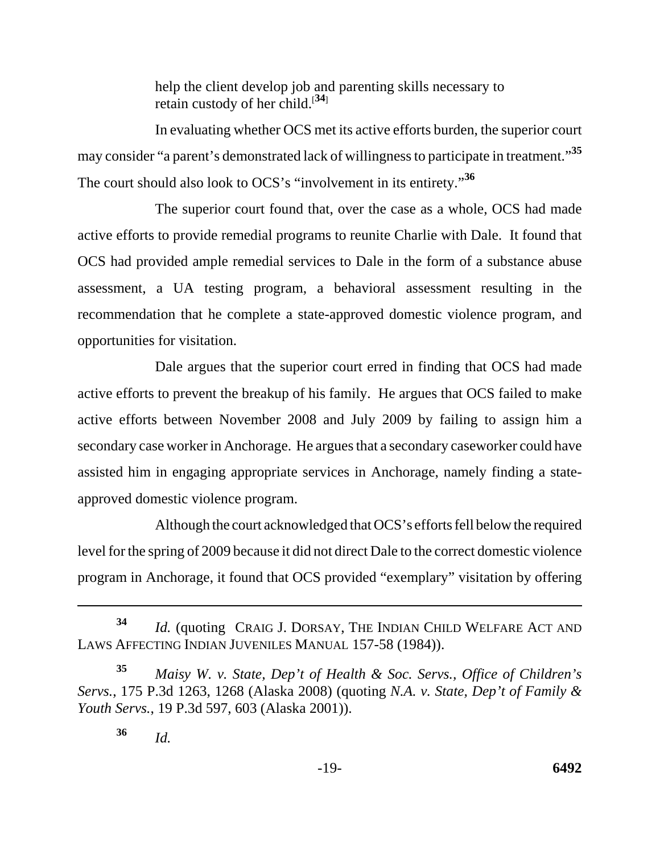help the client develop job and parenting skills necessary to retain custody of her child.[**<sup>34</sup>**]

 The court should also look to OCS's "involvement in its entirety."**<sup>36</sup>** In evaluating whether OCS met its active efforts burden, the superior court may consider "a parent's demonstrated lack of willingness to participate in treatment."**<sup>35</sup>**

The superior court found that, over the case as a whole, OCS had made active efforts to provide remedial programs to reunite Charlie with Dale. It found that OCS had provided ample remedial services to Dale in the form of a substance abuse assessment, a UA testing program, a behavioral assessment resulting in the recommendation that he complete a state-approved domestic violence program, and opportunities for visitation.

Dale argues that the superior court erred in finding that OCS had made active efforts to prevent the breakup of his family. He argues that OCS failed to make active efforts between November 2008 and July 2009 by failing to assign him a secondary case worker in Anchorage. He argues that a secondary caseworker could have assisted him in engaging appropriate services in Anchorage, namely finding a stateapproved domestic violence program.

Although the court acknowledged that OCS's efforts fell below the required level for the spring of 2009 because it did not direct Dale to the correct domestic violence program in Anchorage, it found that OCS provided "exemplary" visitation by offering

 **<sup>34</sup>***Id.* (quoting CRAIG J. DORSAY, THE INDIAN CHILD WELFARE ACT AND LAWS AFFECTING INDIAN JUVENILES MANUAL 157-58 (1984)).

**<sup>35</sup>***Maisy W. v. State, Dep't of Health & Soc. Servs., Office of Children's Servs.*, 175 P.3d 1263, 1268 (Alaska 2008) (quoting *N.A. v. State, Dep't of Family & Youth Servs.*, 19 P.3d 597, 603 (Alaska 2001)).

**<sup>36</sup>***Id.*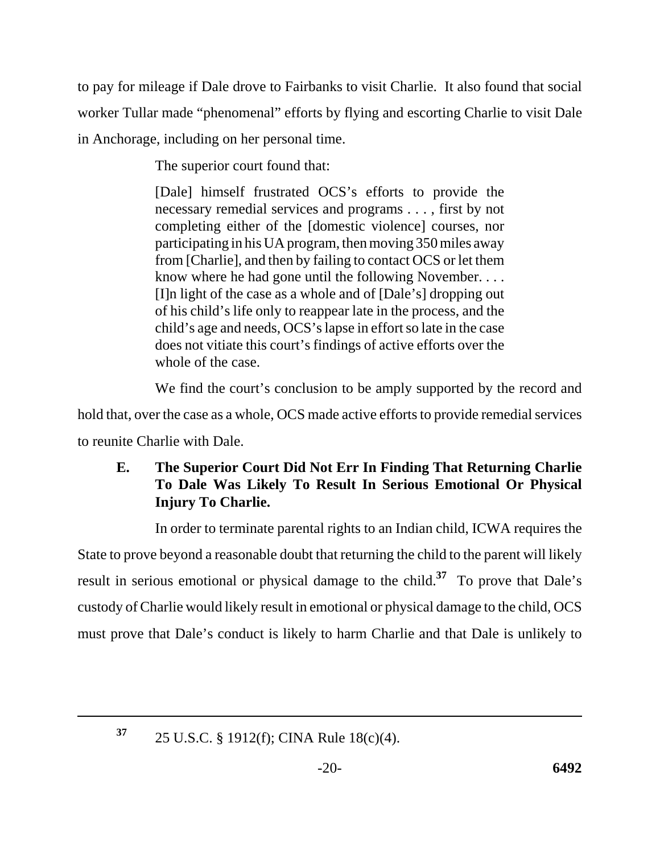to pay for mileage if Dale drove to Fairbanks to visit Charlie. It also found that social worker Tullar made "phenomenal" efforts by flying and escorting Charlie to visit Dale in Anchorage, including on her personal time.

The superior court found that:

[Dale] himself frustrated OCS's efforts to provide the necessary remedial services and programs . . . , first by not completing either of the [domestic violence] courses, nor participating in his UA program, then moving 350 miles away from [Charlie], and then by failing to contact OCS or let them know where he had gone until the following November. . . . [I]n light of the case as a whole and of [Dale's] dropping out of his child's life only to reappear late in the process, and the child's age and needs, OCS's lapse in effort so late in the case does not vitiate this court's findings of active efforts over the whole of the case.

We find the court's conclusion to be amply supported by the record and

hold that, over the case as a whole, OCS made active efforts to provide remedial services to reunite Charlie with Dale.

# **E. The Superior Court Did Not Err In Finding That Returning Charlie To Dale Was Likely To Result In Serious Emotional Or Physical Injury To Charlie.**

In order to terminate parental rights to an Indian child, ICWA requires the State to prove beyond a reasonable doubt that returning the child to the parent will likely result in serious emotional or physical damage to the child.**37** To prove that Dale's custody of Charlie would likely result in emotional or physical damage to the child, OCS must prove that Dale's conduct is likely to harm Charlie and that Dale is unlikely to

**37** 

<sup>25</sup> U.S.C. § 1912(f); CINA Rule 18(c)(4).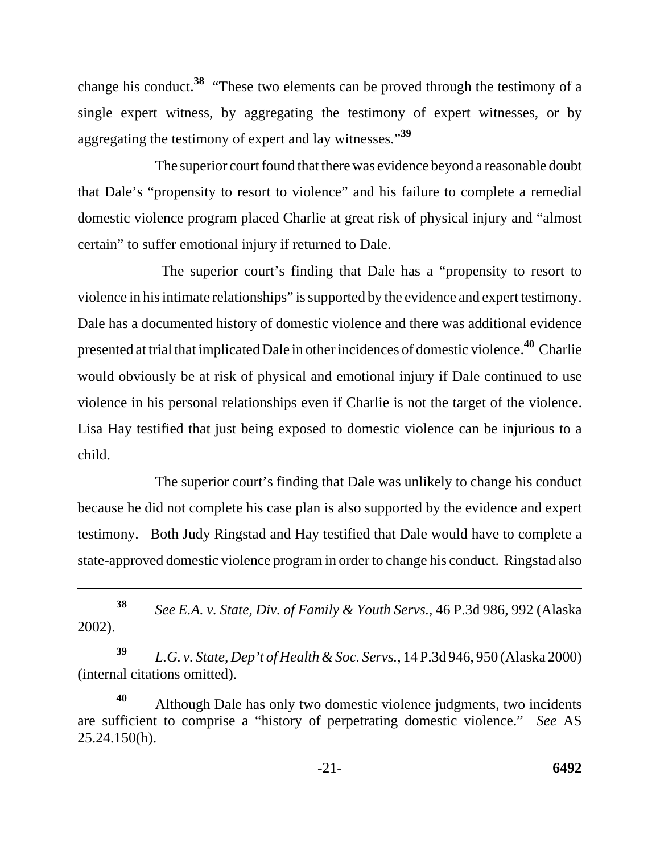change his conduct.**38** "These two elements can be proved through the testimony of a single expert witness, by aggregating the testimony of expert witnesses, or by aggregating the testimony of expert and lay witnesses."**<sup>39</sup>**

The superior court found that there was evidence beyond a reasonable doubt that Dale's "propensity to resort to violence" and his failure to complete a remedial domestic violence program placed Charlie at great risk of physical injury and "almost certain" to suffer emotional injury if returned to Dale.

 The superior court's finding that Dale has a "propensity to resort to violence in his intimate relationships" is supported by the evidence and expert testimony. Dale has a documented history of domestic violence and there was additional evidence presented at trial that implicated Dale in other incidences of domestic violence.**40** Charlie would obviously be at risk of physical and emotional injury if Dale continued to use violence in his personal relationships even if Charlie is not the target of the violence. Lisa Hay testified that just being exposed to domestic violence can be injurious to a child.

The superior court's finding that Dale was unlikely to change his conduct because he did not complete his case plan is also supported by the evidence and expert testimony. Both Judy Ringstad and Hay testified that Dale would have to complete a state-approved domestic violence program in order to change his conduct. Ringstad also

**<sup>38</sup>***See E.A. v. State, Div. of Family & Youth Servs.*, 46 P.3d 986, 992 (Alaska 2002).

**<sup>39</sup>***L.G. v. State, Dep't of Health & Soc. Servs.*, 14 P.3d 946, 950 (Alaska 2000) (internal citations omitted).

**<sup>40</sup>**Although Dale has only two domestic violence judgments, two incidents are sufficient to comprise a "history of perpetrating domestic violence." *See* AS 25.24.150(h).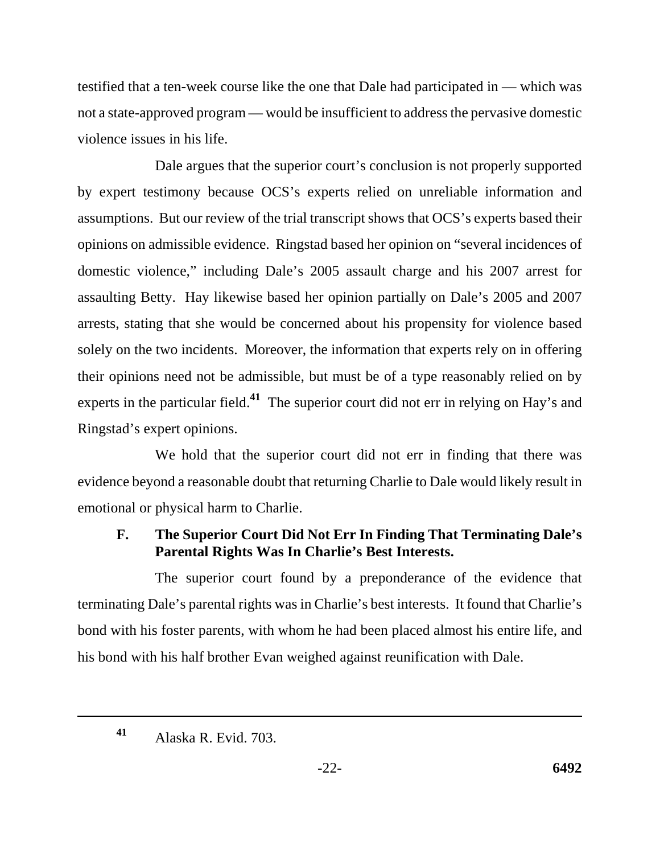testified that a ten-week course like the one that Dale had participated in — which was not a state-approved program — would be insufficient to address the pervasive domestic violence issues in his life.

Dale argues that the superior court's conclusion is not properly supported by expert testimony because OCS's experts relied on unreliable information and assumptions. But our review of the trial transcript shows that OCS's experts based their opinions on admissible evidence. Ringstad based her opinion on "several incidences of domestic violence," including Dale's 2005 assault charge and his 2007 arrest for assaulting Betty. Hay likewise based her opinion partially on Dale's 2005 and 2007 arrests, stating that she would be concerned about his propensity for violence based solely on the two incidents. Moreover, the information that experts rely on in offering their opinions need not be admissible, but must be of a type reasonably relied on by experts in the particular field.**41** The superior court did not err in relying on Hay's and Ringstad's expert opinions.

We hold that the superior court did not err in finding that there was evidence beyond a reasonable doubt that returning Charlie to Dale would likely result in emotional or physical harm to Charlie.

# **F. The Superior Court Did Not Err In Finding That Terminating Dale's Parental Rights Was In Charlie's Best Interests.**

The superior court found by a preponderance of the evidence that terminating Dale's parental rights was in Charlie's best interests. It found that Charlie's bond with his foster parents, with whom he had been placed almost his entire life, and his bond with his half brother Evan weighed against reunification with Dale.

Alaska R. Evid. 703. **41**